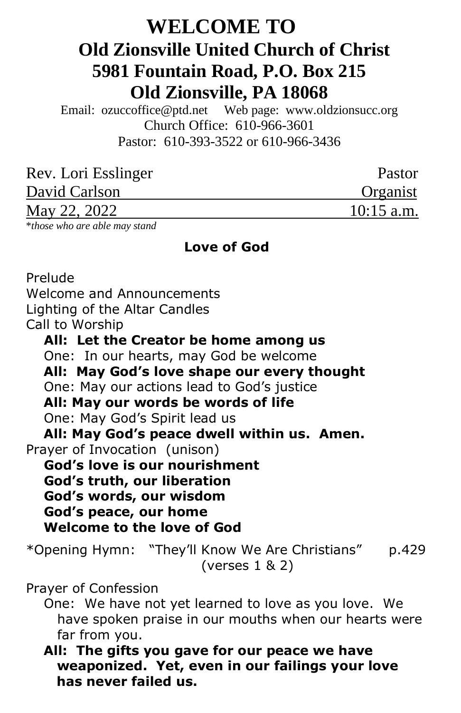# **WELCOME TO Old Zionsville United Church of Christ 5981 Fountain Road, P.O. Box 215 Old Zionsville, PA 18068**

Email: [ozuccoffice@ptd.net](mailto:ozuccoffice@ptd.net) Web page: [www.ol](http://www.uccwebsites.net/oldzionsvilleuccpa.html)dzionsucc.org Church Office: 610-966-3601 Pastor: 610-393-3522 or 610-966-3436

| Rev. Lori Esslinger | Pastor       |
|---------------------|--------------|
| David Carlson       | Organist     |
| May 22, 2022        | $10:15$ a.m. |

\**those who are able may stand*

#### **Love of God**

Prelude Welcome and Announcements Lighting of the Altar Candles Call to Worship **All: Let the Creator be home among us** One: In our hearts, may God be welcome  **All: May God's love shape our every thought** One: May our actions lead to God's justice  **All: May our words be words of life** One: May God's Spirit lead us  **All: May God's peace dwell within us. Amen.** Prayer of Invocation (unison) **God's love is our nourishment God's truth, our liberation God's words, our wisdom God's peace, our home Welcome to the love of God** \*Opening Hymn: "They'll Know We Are Christians" p.429 (verses 1 & 2) Prayer of Confession One: We have not yet learned to love as you love. We have spoken praise in our mouths when our hearts were far from you.  **All: The gifts you gave for our peace we have weaponized. Yet, even in our failings your love** 

 **has never failed us.**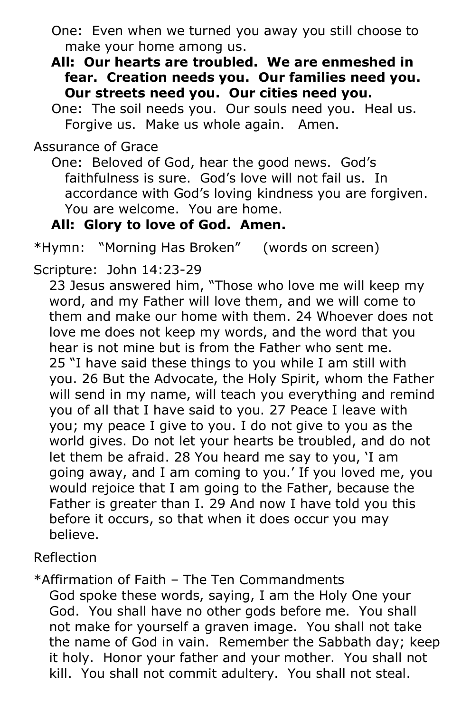- One: Even when we turned you away you still choose to make your home among us.
- **All: Our hearts are troubled. We are enmeshed in fear. Creation needs you. Our families need you. Our streets need you. Our cities need you.**
- One: The soil needs you. Our souls need you. Heal us. Forgive us. Make us whole again. Amen.

Assurance of Grace

 One: Beloved of God, hear the good news. God's faithfulness is sure. God's love will not fail us. In accordance with God's loving kindness you are forgiven. You are welcome. You are home.

### **All: Glory to love of God. Amen.**

\*Hymn: "Morning Has Broken" (words on screen)

Scripture: John 14:23-29

23 Jesus answered him, "Those who love me will keep my word, and my Father will love them, and we will come to them and make our home with them. 24 Whoever does not love me does not keep my words, and the word that you hear is not mine but is from the Father who sent me. 25 "I have said these things to you while I am still with you. 26 But the Advocate, the Holy Spirit, whom the Father will send in my name, will teach you everything and remind you of all that I have said to you. 27 Peace I leave with you; my peace I give to you. I do not give to you as the world gives. Do not let your hearts be troubled, and do not let them be afraid. 28 You heard me say to you, 'I am going away, and I am coming to you.' If you loved me, you would rejoice that I am going to the Father, because the Father is greater than I. 29 And now I have told you this before it occurs, so that when it does occur you may believe.

Reflection

\*Affirmation of Faith – The Ten Commandments God spoke these words, saying, I am the Holy One your God. You shall have no other gods before me. You shall not make for yourself a graven image. You shall not take the name of God in vain. Remember the Sabbath day; keep it holy. Honor your father and your mother. You shall not kill. You shall not commit adultery. You shall not steal.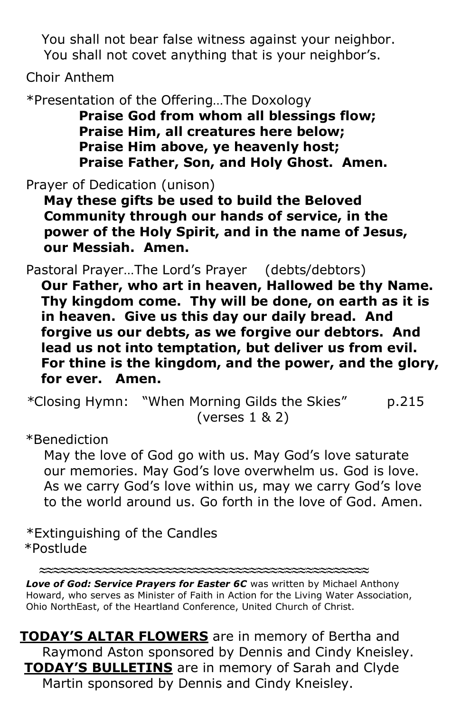You shall not bear false witness against your neighbor. You shall not covet anything that is your neighbor's.

Choir Anthem

\*Presentation of the Offering…The Doxology

 **Praise God from whom all blessings flow; Praise Him, all creatures here below; Praise Him above, ye heavenly host; Praise Father, Son, and Holy Ghost. Amen.**

Prayer of Dedication (unison)

 **May these gifts be used to build the Beloved Community through our hands of service, in the power of the Holy Spirit, and in the name of Jesus, our Messiah. Amen.**

Pastoral Prayer…The Lord's Prayer (debts/debtors)

**Our Father, who art in heaven, Hallowed be thy Name. Thy kingdom come. Thy will be done, on earth as it is in heaven. Give us this day our daily bread. And forgive us our debts, as we forgive our debtors. And lead us not into temptation, but deliver us from evil. For thine is the kingdom, and the power, and the glory, for ever. Amen.**

*\**Closing Hymn: "When Morning Gilds the Skies" p.215 (verses 1 & 2)

\*Benediction

 May the love of God go with us. May God's love saturate our memories. May God's love overwhelm us. God is love. As we carry God's love within us, may we carry God's love to the world around us. Go forth in the love of God. Amen.

\*Extinguishing of the Candles \*Postlude

**≈≈≈≈≈≈≈≈≈≈≈≈≈≈≈≈≈≈≈≈≈≈≈≈≈≈≈≈≈≈≈≈≈≈≈≈≈≈≈≈≈≈≈≈≈≈≈**

*Love of God: Service Prayers for Easter 6C* was written by Michael Anthony Howard, who serves as Minister of Faith in Action for the Living Water Association, Ohio NorthEast, of the Heartland Conference, United Church of Christ.

**TODAY'S ALTAR FLOWERS** are in memory of Bertha and Raymond Aston sponsored by Dennis and Cindy Kneisley. **TODAY'S BULLETINS** are in memory of Sarah and Clyde Martin sponsored by Dennis and Cindy Kneisley.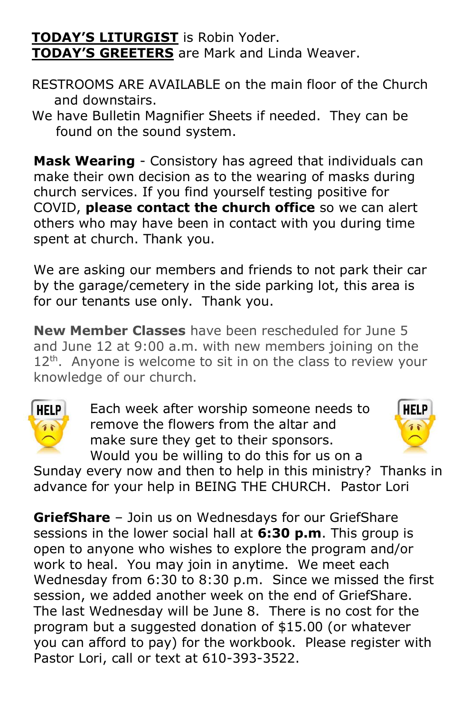## **TODAY'S LITURGIST** is Robin Yoder. **TODAY'S GREETERS** are Mark and Linda Weaver.

- RESTROOMS ARE AVAILABLE on the main floor of the Church and downstairs.
- We have Bulletin Magnifier Sheets if needed. They can be found on the sound system.

**Mask Wearing** - Consistory has agreed that individuals can make their own decision as to the wearing of masks during church services. If you find yourself testing positive for COVID, **please contact the church office** so we can alert others who may have been in contact with you during time spent at church. Thank you.

We are asking our members and friends to not park their car by the garage/cemetery in the side parking lot, this area is for our tenants use only. Thank you.

**New Member Classes** have been rescheduled for June 5 and June 12 at 9:00 a.m. with new members joining on the  $12<sup>th</sup>$ . Anyone is welcome to sit in on the class to review your knowledge of our church.



Each week after worship someone needs to remove the flowers from the altar and make sure they get to their sponsors. Would you be willing to do this for us on a



Sunday every now and then to help in this ministry? Thanks in advance for your help in BEING THE CHURCH. Pastor Lori

**GriefShare** – Join us on Wednesdays for our GriefShare sessions in the lower social hall at **6:30 p.m**. This group is open to anyone who wishes to explore the program and/or work to heal. You may join in anytime. We meet each Wednesday from 6:30 to 8:30 p.m. Since we missed the first session, we added another week on the end of GriefShare. The last Wednesday will be June 8. There is no cost for the program but a suggested donation of \$15.00 (or whatever you can afford to pay) for the workbook. Please register with Pastor Lori, call or text at 610-393-3522.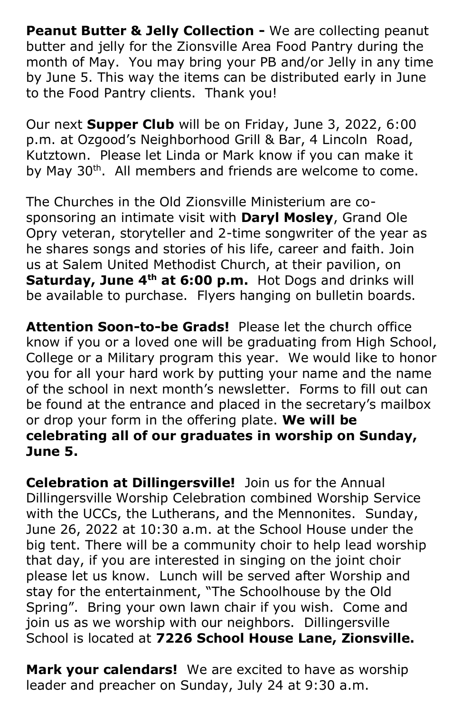**Peanut Butter & Jelly Collection -** We are collecting peanut butter and jelly for the Zionsville Area Food Pantry during the month of May. You may bring your PB and/or Jelly in any time by June 5. This way the items can be distributed early in June to the Food Pantry clients. Thank you!

Our next **Supper Club** will be on Friday, June 3, 2022, 6:00 p.m. at Ozgood's Neighborhood Grill & Bar, 4 Lincoln Road, Kutztown. Please let Linda or Mark know if you can make it by May 30<sup>th</sup>. All members and friends are welcome to come.

The Churches in the Old Zionsville Ministerium are cosponsoring an intimate visit with **Daryl Mosley**, Grand Ole Opry veteran, storyteller and 2-time songwriter of the year as he shares songs and stories of his life, career and faith. Join us at Salem United Methodist Church, at their pavilion, on **Saturday, June 4th at 6:00 p.m.** Hot Dogs and drinks will be available to purchase. Flyers hanging on bulletin boards.

**Attention Soon-to-be Grads!** Please let the church office know if you or a loved one will be graduating from High School, College or a Military program this year. We would like to honor you for all your hard work by putting your name and the name of the school in next month's newsletter. Forms to fill out can be found at the entrance and placed in the secretary's mailbox or drop your form in the offering plate. **We will be celebrating all of our graduates in worship on Sunday, June 5.**

**Celebration at Dillingersville!** Join us for the Annual Dillingersville Worship Celebration combined Worship Service with the UCCs, the Lutherans, and the Mennonites. Sunday, June 26, 2022 at 10:30 a.m. at the School House under the big tent. There will be a community choir to help lead worship that day, if you are interested in singing on the joint choir please let us know. Lunch will be served after Worship and stay for the entertainment, "The Schoolhouse by the Old Spring". Bring your own lawn chair if you wish. Come and join us as we worship with our neighbors. Dillingersville School is located at **7226 School House Lane, Zionsville.**

**Mark your calendars!** We are excited to have as worship leader and preacher on Sunday, July 24 at 9:30 a.m.